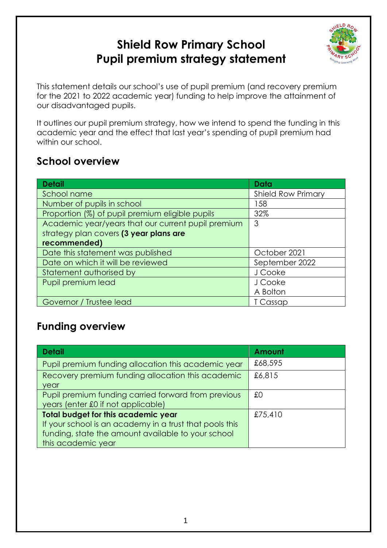# **Shield Row Primary School Pupil premium strategy statement**



This statement details our school's use of pupil premium (and recovery premium for the 2021 to 2022 academic year) funding to help improve the attainment of our disadvantaged pupils.

It outlines our pupil premium strategy, how we intend to spend the funding in this academic year and the effect that last year's spending of pupil premium had within our school.

### **School overview**

| <b>Detail</b>                                      | Data                      |  |
|----------------------------------------------------|---------------------------|--|
| School name                                        | <b>Shield Row Primary</b> |  |
| Number of pupils in school                         | 158                       |  |
| Proportion (%) of pupil premium eligible pupils    | 32%                       |  |
| Academic year/years that our current pupil premium | 3                         |  |
| strategy plan covers (3 year plans are             |                           |  |
| recommended)                                       |                           |  |
| Date this statement was published                  | October 2021              |  |
| Date on which it will be reviewed                  | September 2022            |  |
| Statement authorised by                            | J Cooke                   |  |
| Pupil premium lead                                 | J Cooke                   |  |
|                                                    | A Bolton                  |  |
| Governor / Trustee lead                            | T Cassap                  |  |

## **Funding overview**

| <b>Detail</b>                                           | Amount  |
|---------------------------------------------------------|---------|
| Pupil premium funding allocation this academic year     | £68,595 |
| Recovery premium funding allocation this academic       | £6,815  |
| year                                                    |         |
| Pupil premium funding carried forward from previous     | £0      |
| years (enter £0 if not applicable)                      |         |
| <b>Total budget for this academic year</b>              | £75,410 |
| If your school is an academy in a trust that pools this |         |
| funding, state the amount available to your school      |         |
| this academic year                                      |         |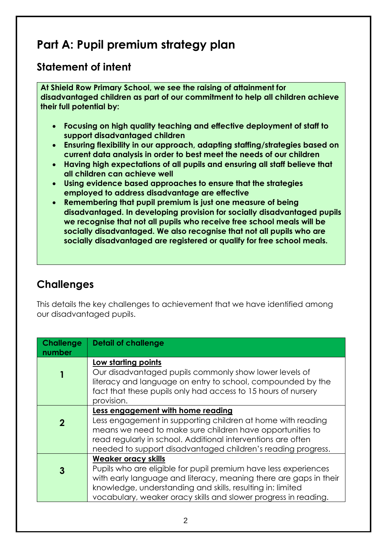# **Part A: Pupil premium strategy plan**

### **Statement of intent**

**At Shield Row Primary School, we see the raising of attainment for disadvantaged children as part of our commitment to help all children achieve their full potential by:**

- **Focusing on high quality teaching and effective deployment of staff to support disadvantaged children**
- **Ensuring flexibility in our approach, adapting staffing/strategies based on current data analysis in order to best meet the needs of our children**
- **Having high expectations of all pupils and ensuring all staff believe that all children can achieve well**
- **Using evidence based approaches to ensure that the strategies employed to address disadvantage are effective**
- **Remembering that pupil premium is just one measure of being disadvantaged. In developing provision for socially disadvantaged pupils we recognise that not all pupils who receive free school meals will be socially disadvantaged. We also recognise that not all pupils who are socially disadvantaged are registered or qualify for free school meals.**

## **Challenges**

This details the key challenges to achievement that we have identified among our disadvantaged pupils.

| <b>Challenge</b><br>number | <b>Detail of challenge</b>                                                                                                                                                                                                                                                                          |
|----------------------------|-----------------------------------------------------------------------------------------------------------------------------------------------------------------------------------------------------------------------------------------------------------------------------------------------------|
|                            | Low starting points<br>Our disadvantaged pupils commonly show lower levels of<br>literacy and language on entry to school, compounded by the<br>fact that these pupils only had access to 15 hours of nursery<br>provision.                                                                         |
| $\mathbf 2$                | Less engagement with home reading<br>Less engagement in supporting children at home with reading<br>means we need to make sure children have opportunities to<br>read regularly in school. Additional interventions are often<br>needed to support disadvantaged children's reading progress.       |
| 3                          | <b>Weaker oracy skills</b><br>Pupils who are eligible for pupil premium have less experiences<br>with early language and literacy, meaning there are gaps in their<br>knowledge, understanding and skills, resulting in: limited<br>vocabulary, weaker oracy skills and slower progress in reading. |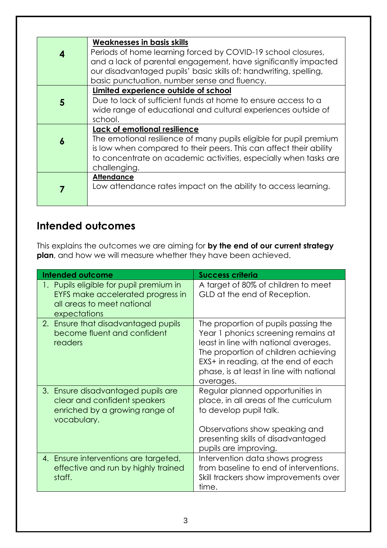| 4 | <b>Weaknesses in basis skills</b><br>Periods of home learning forced by COVID-19 school closures,<br>and a lack of parental engagement, have significantly impacted<br>our disadvantaged pupils' basic skills of: handwriting, spelling,                     |
|---|--------------------------------------------------------------------------------------------------------------------------------------------------------------------------------------------------------------------------------------------------------------|
|   | basic punctuation, number sense and fluency.                                                                                                                                                                                                                 |
| 5 | Limited experience outside of school<br>Due to lack of sufficient funds at home to ensure access to a<br>wide range of educational and cultural experiences outside of<br>school.                                                                            |
| 6 | Lack of emotional resilience<br>The emotional resilience of many pupils eligible for pupil premium<br>is low when compared to their peers. This can affect their ability<br>to concentrate on academic activities, especially when tasks are<br>challenging. |
|   | <b>Attendance</b><br>Low attendance rates impact on the ability to access learning.                                                                                                                                                                          |

### **Intended outcomes**

This explains the outcomes we are aiming for **by the end of our current strategy plan**, and how we will measure whether they have been achieved.

| <b>Intended outcome</b>                                                                                                    | <b>Success criteria</b>                                                                                                                                                                                                                                      |
|----------------------------------------------------------------------------------------------------------------------------|--------------------------------------------------------------------------------------------------------------------------------------------------------------------------------------------------------------------------------------------------------------|
| 1. Pupils eligible for pupil premium in<br>EYFS make accelerated progress in<br>all areas to meet national<br>expectations | A target of 80% of children to meet<br>GLD at the end of Reception.                                                                                                                                                                                          |
| 2. Ensure that disadvantaged pupils<br>become fluent and confident<br>readers                                              | The proportion of pupils passing the<br>Year 1 phonics screening remains at<br>least in line with national averages.<br>The proportion of children achieving<br>EXS+ in reading, at the end of each<br>phase, is at least in line with national<br>averages. |
| 3. Ensure disadvantaged pupils are<br>clear and confident speakers<br>enriched by a growing range of<br>vocabulary.        | Regular planned opportunities in<br>place, in all areas of the curriculum<br>to develop pupil talk.<br>Observations show speaking and<br>presenting skills of disadvantaged<br>pupils are improving.                                                         |
| 4. Ensure interventions are targeted,<br>effective and run by highly trained<br>staff.                                     | Intervention data shows progress<br>from baseline to end of interventions.<br>Skill trackers show improvements over<br>time.                                                                                                                                 |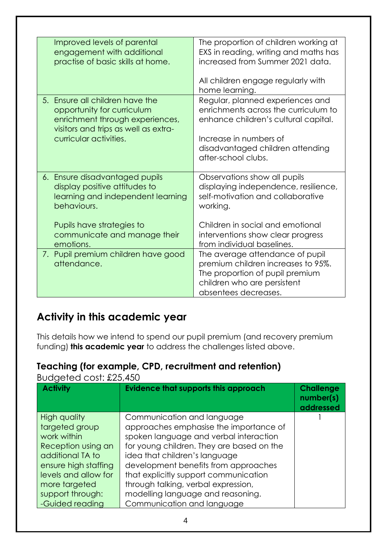| Improved levels of parental<br>engagement with additional<br>practise of basic skills at home.                                                                                   | The proportion of children working at<br>EXS in reading, writing and maths has<br>increased from Summer 2021 data.<br>All children engage regularly with<br>home learning.                            |
|----------------------------------------------------------------------------------------------------------------------------------------------------------------------------------|-------------------------------------------------------------------------------------------------------------------------------------------------------------------------------------------------------|
| 5. Ensure all children have the<br>opportunity for curriculum<br>enrichment through experiences,<br>visitors and trips as well as extra-<br>curricular activities.               | Regular, planned experiences and<br>enrichments across the curriculum to<br>enhance children's cultural capital.<br>Increase in numbers of<br>disadvantaged children attending<br>after-school clubs. |
| 6. Ensure disadvantaged pupils<br>display positive attitudes to<br>learning and independent learning<br>behaviours.<br>Pupils have strategies to<br>communicate and manage their | Observations show all pupils<br>displaying independence, resilience,<br>self-motivation and collaborative<br>working.<br>Children in social and emotional<br>interventions show clear progress        |
| emotions.<br>7. Pupil premium children have good<br>attendance.                                                                                                                  | from individual baselines.<br>The average attendance of pupil<br>premium children increases to 95%.<br>The proportion of pupil premium<br>children who are persistent<br>absentees decreases.         |

### **Activity in this academic year**

This details how we intend to spend our pupil premium (and recovery premium funding) **this academic year** to address the challenges listed above.

#### **Teaching (for example, CPD, recruitment and retention)**

**Activity Evidence that supports this approach Challenge number(s) addressed** High quality targeted group work within Reception using an additional TA to ensure high staffing levels and allow for more targeted support through: -Guided reading Communication and language approaches emphasise the importance of spoken language and verbal interaction for young children. They are based on the idea that children's language development benefits from approaches that explicitly support communication through talking, verbal expression, modelling language and reasoning. Communication and language 1

Budgeted cost: £25,450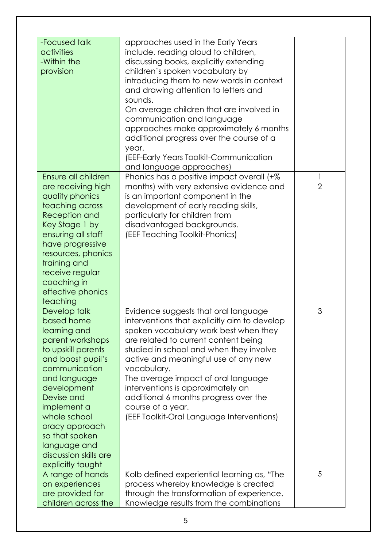| -Focused talk<br>activities<br>-Within the<br>provision<br>Ensure all children                                                                                                                                                                                                                           | approaches used in the Early Years<br>include, reading aloud to children,<br>discussing books, explicitly extending<br>children's spoken vocabulary by<br>introducing them to new words in context<br>and drawing attention to letters and<br>sounds.<br>On average children that are involved in<br>communication and language<br>approaches make approximately 6 months<br>additional progress over the course of a<br>year.<br>(EEF-Early Years Toolkit-Communication<br>and language approaches) | 1              |
|----------------------------------------------------------------------------------------------------------------------------------------------------------------------------------------------------------------------------------------------------------------------------------------------------------|------------------------------------------------------------------------------------------------------------------------------------------------------------------------------------------------------------------------------------------------------------------------------------------------------------------------------------------------------------------------------------------------------------------------------------------------------------------------------------------------------|----------------|
| are receiving high<br>quality phonics<br>teaching across<br>Reception and<br>Key Stage 1 by<br>ensuring all staff<br>have progressive<br>resources, phonics<br>training and<br>receive regular<br>coaching in<br>effective phonics<br>teaching                                                           | Phonics has a positive impact overall (+%<br>months) with very extensive evidence and<br>is an important component in the<br>development of early reading skills,<br>particularly for children from<br>disadvantaged backgrounds.<br>(EEF Teaching Toolkit-Phonics)                                                                                                                                                                                                                                  | $\overline{2}$ |
| Develop talk<br>based home<br>learning and<br>parent workshops<br>to upskill parents<br>and boost pupil's<br>communication<br>and language<br>development<br>Devise and<br>implement a<br>whole school<br>oracy approach<br>so that spoken<br>language and<br>discussion skills are<br>explicitly taught | Evidence suggests that oral language<br>interventions that explicitly aim to develop<br>spoken vocabulary work best when they<br>are related to current content being<br>studied in school and when they involve<br>active and meaningful use of any new<br>vocabulary.<br>The average impact of oral language<br>interventions is approximately an<br>additional 6 months progress over the<br>course of a year.<br>(EEF Toolkit-Oral Language Interventions)                                       | 3              |
| A range of hands<br>on experiences<br>are provided for<br>children across the                                                                                                                                                                                                                            | Kolb defined experiential learning as, "The<br>process whereby knowledge is created<br>through the transformation of experience.<br>Knowledge results from the combinations                                                                                                                                                                                                                                                                                                                          | 5              |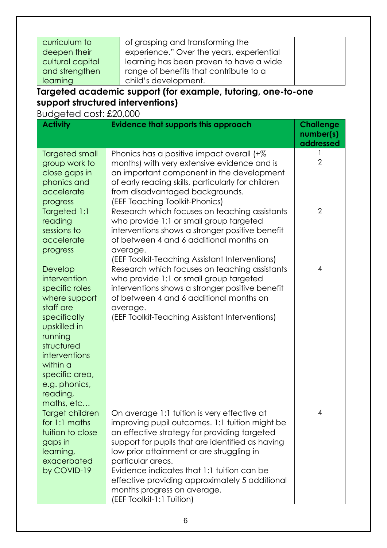| curriculum to    | of grasping and transforming the          |  |
|------------------|-------------------------------------------|--|
| deepen their     | experience." Over the years, experiential |  |
| cultural capital | learning has been proven to have a wide   |  |
| and strengthen   | range of benefits that contribute to a    |  |
| learning         | child's development.                      |  |

### **Targeted academic support (for example, tutoring, one-to-one support structured interventions)**

Budgeted cost: £20,000

| <b>Activity</b>                                                                                                                                                                                                            | <b>Evidence that supports this approach</b>                                                                                                                                                                                                                                                                                                                                                                                           | <b>Challenge</b><br>number(s) |
|----------------------------------------------------------------------------------------------------------------------------------------------------------------------------------------------------------------------------|---------------------------------------------------------------------------------------------------------------------------------------------------------------------------------------------------------------------------------------------------------------------------------------------------------------------------------------------------------------------------------------------------------------------------------------|-------------------------------|
|                                                                                                                                                                                                                            |                                                                                                                                                                                                                                                                                                                                                                                                                                       | addressed                     |
| Targeted small<br>group work to<br>close gaps in<br>phonics and<br>accelerate<br>progress                                                                                                                                  | Phonics has a positive impact overall (+%<br>months) with very extensive evidence and is<br>an important component in the development<br>of early reading skills, particularly for children<br>from disadvantaged backgrounds.<br>(EEF Teaching Toolkit-Phonics)                                                                                                                                                                      | $\overline{2}$                |
| Targeted 1:1<br>reading<br>sessions to<br>accelerate<br>progress                                                                                                                                                           | Research which focuses on teaching assistants<br>who provide 1:1 or small group targeted<br>interventions shows a stronger positive benefit<br>of between 4 and 6 additional months on<br>average.<br><b>EEF Toolkit-Teaching Assistant Interventions)</b>                                                                                                                                                                            | $\overline{2}$                |
| Develop<br>intervention<br>specific roles<br>where support<br>staff are<br>specifically<br>upskilled in<br>running<br>structured<br>interventions<br>within a<br>specific area,<br>e.g. phonics,<br>reading,<br>maths, etc | Research which focuses on teaching assistants<br>who provide 1:1 or small group targeted<br>interventions shows a stronger positive benefit<br>of between 4 and 6 additional months on<br>average.<br>(EEF Toolkit-Teaching Assistant Interventions)                                                                                                                                                                                  | $\overline{4}$                |
| Target children<br>for 1:1 maths<br>tuition to close<br>gaps in<br>learning,<br>exacerbated<br>by COVID-19                                                                                                                 | On average 1:1 tuition is very effective at<br>improving pupil outcomes. 1:1 tuition might be<br>an effective strategy for providing targeted<br>support for pupils that are identified as having<br>low prior attainment or are struggling in<br>particular areas.<br>Evidence indicates that 1:1 tuition can be<br>effective providing approximately 5 additional<br>months progress on average.<br><b>EEF Toolkit-1:1 Tuition)</b> | 4                             |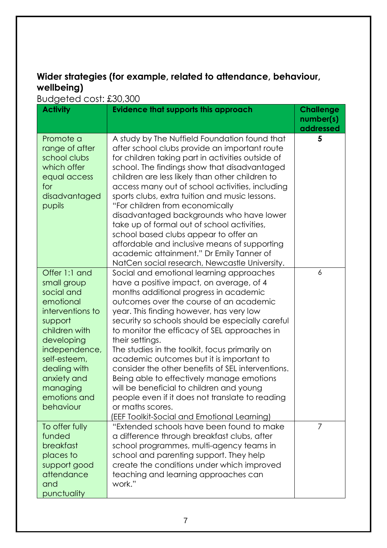#### **Wider strategies (for example, related to attendance, behaviour, wellbeing)**

Budgeted cost: £30,300

| <b>Activity</b>                                                                                                                                                                                                                | 50,90,50,500,500,500<br><b>Evidence that supports this approach</b>                                                                                                                                                                                                                                                                                                                                                                                                                                                                                                                                                                                                                                            | <b>Challenge</b> |
|--------------------------------------------------------------------------------------------------------------------------------------------------------------------------------------------------------------------------------|----------------------------------------------------------------------------------------------------------------------------------------------------------------------------------------------------------------------------------------------------------------------------------------------------------------------------------------------------------------------------------------------------------------------------------------------------------------------------------------------------------------------------------------------------------------------------------------------------------------------------------------------------------------------------------------------------------------|------------------|
|                                                                                                                                                                                                                                |                                                                                                                                                                                                                                                                                                                                                                                                                                                                                                                                                                                                                                                                                                                | number(s)        |
|                                                                                                                                                                                                                                |                                                                                                                                                                                                                                                                                                                                                                                                                                                                                                                                                                                                                                                                                                                | addressed        |
| Promote a<br>range of after<br>school clubs<br>which offer<br>equal access<br>for<br>disadvantaged<br>pupils                                                                                                                   | A study by The Nuffield Foundation found that<br>after school clubs provide an important route<br>for children taking part in activities outside of<br>school. The findings show that disadvantaged<br>children are less likely than other children to<br>access many out of school activities, including<br>sports clubs, extra tuition and music lessons.<br>"For children from economically<br>disadvantaged backgrounds who have lower<br>take up of formal out of school activities,<br>school based clubs appear to offer an<br>affordable and inclusive means of supporting<br>academic attainment." Dr Emily Tanner of<br>NatCen social research, Newcastle University.                                | 5                |
| Offer 1:1 and<br>small group<br>social and<br>emotional<br>interventions to<br>support<br>children with<br>developing<br>independence,<br>self-esteem,<br>dealing with<br>anxiety and<br>managing<br>emotions and<br>behaviour | Social and emotional learning approaches<br>have a positive impact, on average, of 4<br>months additional progress in academic<br>outcomes over the course of an academic<br>year. This finding however, has very low<br>security so schools should be especially careful<br>to monitor the efficacy of SEL approaches in<br>their settings.<br>The studies in the toolkit, focus primarily on<br>academic outcomes but it is important to<br>consider the other benefits of SEL interventions.<br>Being able to effectively manage emotions<br>will be beneficial to children and young<br>people even if it does not translate to reading<br>or maths scores.<br>(EEF Toolkit-Social and Emotional Learning) | 6                |
| To offer fully<br>funded<br>breakfast<br>places to<br>support good<br>attendance<br>and<br>punctuality                                                                                                                         | "Extended schools have been found to make<br>a difference through breakfast clubs, after<br>school programmes, multi-agency teams in<br>school and parenting support. They help<br>create the conditions under which improved<br>teaching and learning approaches can<br>work."                                                                                                                                                                                                                                                                                                                                                                                                                                | 7                |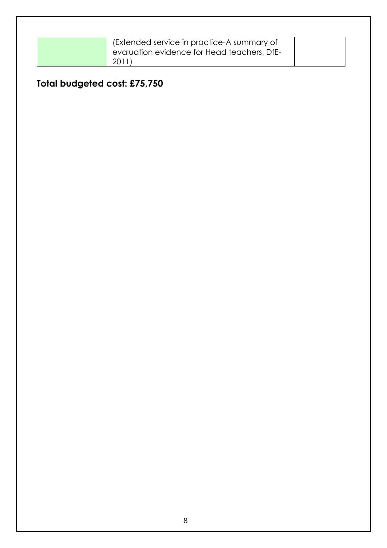| (Extended service in practice-A summary of  |  |
|---------------------------------------------|--|
| evaluation evidence for Head teachers, DfE- |  |
| 2011                                        |  |

## **Total budgeted cost: £75,750**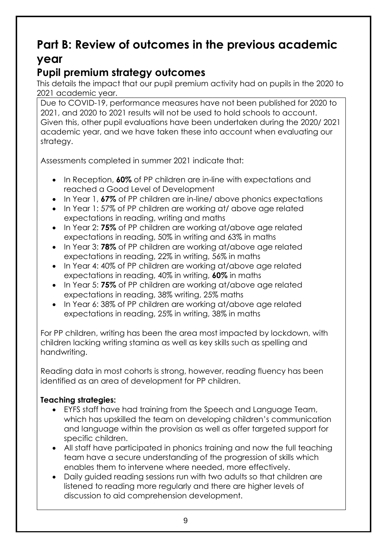# **Part B: Review of outcomes in the previous academic year**

## **Pupil premium strategy outcomes**

This details the impact that our pupil premium activity had on pupils in the 2020 to 2021 academic year.

Due to COVID-19, performance measures have not been published for 2020 to 2021, and 2020 to 2021 results will not be used to hold schools to account. Given this, other pupil evaluations have been undertaken during the 2020/ 2021 academic year, and we have taken these into account when evaluating our strategy.

Assessments completed in summer 2021 indicate that:

- **In Reception, 60% of PP children are in-line with expectations and** reached a Good Level of Development
- In Year 1, **67%** of PP children are in-line/ above phonics expectations
- In Year 1: 57% of PP children are working at/ above age related expectations in reading, writing and maths
- In Year 2: **75%** of PP children are working at/above age related expectations in reading, 50% in writing and 63% in maths
- In Year 3: **78%** of PP children are working at/above age related expectations in reading, 22% in writing, 56% in maths
- In Year 4: 40% of PP children are working at/above age related expectations in reading, 40% in writing, **60%** in maths
- In Year 5: **75%** of PP children are working at/above age related expectations in reading, 38% writing, 25% maths
- In Year 6: 38% of PP children are working at/above age related expectations in reading, 25% in writing, 38% in maths

For PP children, writing has been the area most impacted by lockdown, with children lacking writing stamina as well as key skills such as spelling and handwriting.

Reading data in most cohorts is strong, however, reading fluency has been identified as an area of development for PP children.

#### **Teaching strategies:**

- EYFS staff have had training from the Speech and Language Team, which has upskilled the team on developing children's communication and language within the provision as well as offer targeted support for specific children.
- All staff have participated in phonics training and now the full teaching team have a secure understanding of the progression of skills which enables them to intervene where needed, more effectively.
- Daily auided reading sessions run with two adults so that children are listened to reading more regularly and there are higher levels of discussion to aid comprehension development.